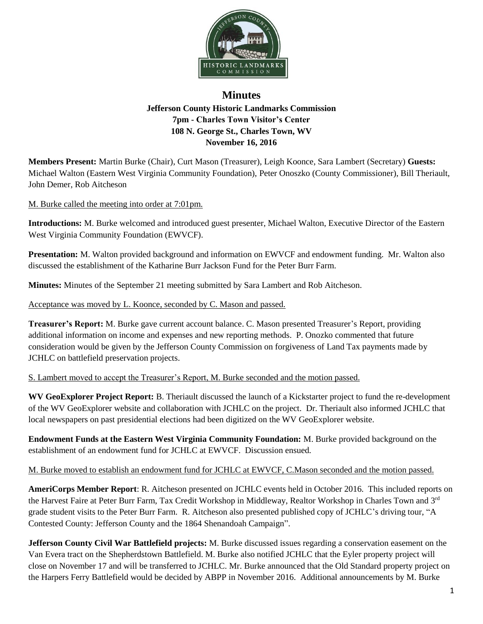

## **Minutes Jefferson County Historic Landmarks Commission 7pm - Charles Town Visitor's Center 108 N. George St., Charles Town, WV November 16, 2016**

**Members Present:** Martin Burke (Chair), Curt Mason (Treasurer), Leigh Koonce, Sara Lambert (Secretary) **Guests:** Michael Walton (Eastern West Virginia Community Foundation), Peter Onoszko (County Commissioner), Bill Theriault, John Demer, Rob Aitcheson

M. Burke called the meeting into order at 7:01pm.

**Introductions:** M. Burke welcomed and introduced guest presenter, Michael Walton, Executive Director of the Eastern West Virginia Community Foundation (EWVCF).

**Presentation:** M. Walton provided background and information on EWVCF and endowment funding. Mr. Walton also discussed the establishment of the Katharine Burr Jackson Fund for the Peter Burr Farm.

**Minutes:** Minutes of the September 21 meeting submitted by Sara Lambert and Rob Aitcheson.

Acceptance was moved by L. Koonce, seconded by C. Mason and passed.

**Treasurer's Report:** M. Burke gave current account balance. C. Mason presented Treasurer's Report, providing additional information on income and expenses and new reporting methods. P. Onozko commented that future consideration would be given by the Jefferson County Commission on forgiveness of Land Tax payments made by JCHLC on battlefield preservation projects.

## S. Lambert moved to accept the Treasurer's Report, M. Burke seconded and the motion passed.

**WV GeoExplorer Project Report:** B. Theriault discussed the launch of a Kickstarter project to fund the re-development of the WV GeoExplorer website and collaboration with JCHLC on the project. Dr. Theriault also informed JCHLC that local newspapers on past presidential elections had been digitized on the WV GeoExplorer website.

**Endowment Funds at the Eastern West Virginia Community Foundation:** M. Burke provided background on the establishment of an endowment fund for JCHLC at EWVCF. Discussion ensued.

M. Burke moved to establish an endowment fund for JCHLC at EWVCF, C.Mason seconded and the motion passed.

**AmeriCorps Member Report**: R. Aitcheson presented on JCHLC events held in October 2016. This included reports on the Harvest Faire at Peter Burr Farm, Tax Credit Workshop in Middleway, Realtor Workshop in Charles Town and 3<sup>rd</sup> grade student visits to the Peter Burr Farm. R. Aitcheson also presented published copy of JCHLC's driving tour, "A Contested County: Jefferson County and the 1864 Shenandoah Campaign".

**Jefferson County Civil War Battlefield projects:** M. Burke discussed issues regarding a conservation easement on the Van Evera tract on the Shepherdstown Battlefield. M. Burke also notified JCHLC that the Eyler property project will close on November 17 and will be transferred to JCHLC. Mr. Burke announced that the Old Standard property project on the Harpers Ferry Battlefield would be decided by ABPP in November 2016. Additional announcements by M. Burke